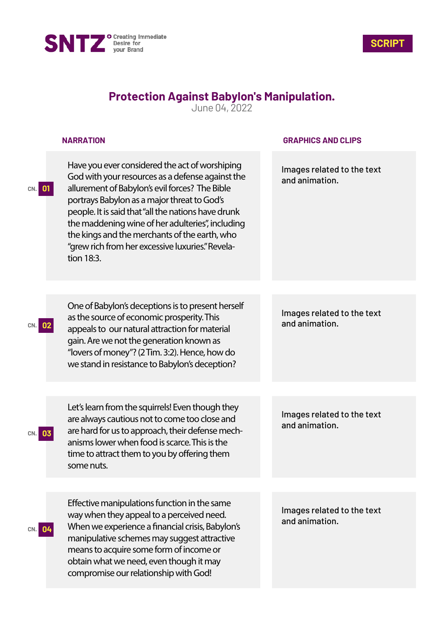



## **Protection Against Babylon's Manipulation.**

June 04, 2022

## **NARRATION**

Have you ever considered the act of worshiping God with your resources as a defense against the allurement of Babylon's evil forces? The Bible portrays Babylon as a major threat to God's people. It is said that "all the nations have drunk the maddening wine of her adulteries", including the kings and the merchants of the earth, who "grew rich from her excessive luxuries." Revelation 18:3.

One of Babylon's deceptions is to present herself

as the source of economic prosperity. This

gain. Are we not the generation known as "lovers of money"? (2 Tim. 3:2). Hence, how do we stand in resistance to Babylon's deception?

Let's learn from the squirrels! Even though they are always cautious not to come too close and are hard for us to approach, their defense mechanisms lower when food is scarce. This is the time to attract them to you by offering them

**GRAPHICS AND CLIPS**

Images related to the text and animation.

Images related to the text **CN. 02** and animation. appeals to our natural attraction for material

> Images related to the text and animation.

Effective manipulations function in the same way when they appeal to a perceived need. When we experience a financial crisis, Babylon's manipulative schemes may suggest attractive means to acquire some form of income or obtain what we need, even though it may compromise our relationship with God!

Images related to the text and animation.

**CN. 03**

**CN. 04**

some nuts.